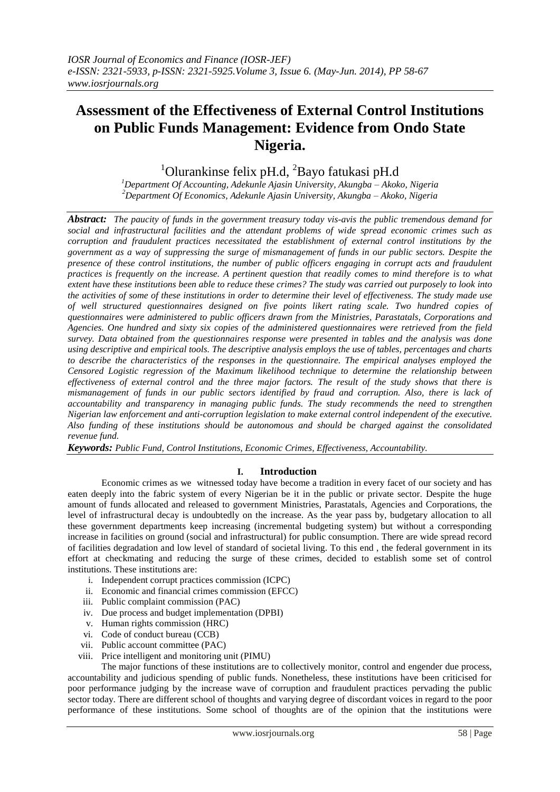# **Assessment of the Effectiveness of External Control Institutions on Public Funds Management: Evidence from Ondo State Nigeria.**

<sup>1</sup>Olurankinse felix pH.d,  $^{2}$ Bayo fatukasi pH.d

*<sup>1</sup>Department Of Accounting, Adekunle Ajasin University, Akungba – Akoko, Nigeria <sup>2</sup>Department Of Economics, Adekunle Ajasin University, Akungba – Akoko, Nigeria*

*Abstract: The paucity of funds in the government treasury today vis-avis the public tremendous demand for social and infrastructural facilities and the attendant problems of wide spread economic crimes such as corruption and fraudulent practices necessitated the establishment of external control institutions by the government as a way of suppressing the surge of mismanagement of funds in our public sectors. Despite the presence of these control institutions, the number of public officers engaging in corrupt acts and fraudulent practices is frequently on the increase. A pertinent question that readily comes to mind therefore is to what extent have these institutions been able to reduce these crimes? The study was carried out purposely to look into the activities of some of these institutions in order to determine their level of effectiveness. The study made use of well structured questionnaires designed on five points likert rating scale. Two hundred copies of questionnaires were administered to public officers drawn from the Ministries, Parastatals, Corporations and Agencies. One hundred and sixty six copies of the administered questionnaires were retrieved from the field survey. Data obtained from the questionnaires response were presented in tables and the analysis was done using descriptive and empirical tools. The descriptive analysis employs the use of tables, percentages and charts to describe the characteristics of the responses in the questionnaire. The empirical analyses employed the Censored Logistic regression of the Maximum likelihood technique to determine the relationship between effectiveness of external control and the three major factors. The result of the study shows that there is mismanagement of funds in our public sectors identified by fraud and corruption. Also, there is lack of accountability and transparency in managing public funds. The study recommends the need to strengthen Nigerian law enforcement and anti-corruption legislation to make external control independent of the executive. Also funding of these institutions should be autonomous and should be charged against the consolidated revenue fund.* 

*Keywords: Public Fund, Control Institutions, Economic Crimes, Effectiveness, Accountability.*

## **I. Introduction**

Economic crimes as we witnessed today have become a tradition in every facet of our society and has eaten deeply into the fabric system of every Nigerian be it in the public or private sector. Despite the huge amount of funds allocated and released to government Ministries, Parastatals, Agencies and Corporations, the level of infrastructural decay is undoubtedly on the increase. As the year pass by, budgetary allocation to all these government departments keep increasing (incremental budgeting system) but without a corresponding increase in facilities on ground (social and infrastructural) for public consumption. There are wide spread record of facilities degradation and low level of standard of societal living. To this end , the federal government in its effort at checkmating and reducing the surge of these crimes, decided to establish some set of control institutions. These institutions are:

- i. Independent corrupt practices commission (ICPC)
- ii. Economic and financial crimes commission (EFCC)
- iii. Public complaint commission (PAC)
- iv. Due process and budget implementation (DPBI)
- v. Human rights commission (HRC)
- vi. Code of conduct bureau (CCB)
- vii. Public account committee (PAC)
- viii. Price intelligent and monitoring unit (PIMU)

The major functions of these institutions are to collectively monitor, control and engender due process, accountability and judicious spending of public funds. Nonetheless, these institutions have been criticised for poor performance judging by the increase wave of corruption and fraudulent practices pervading the public sector today. There are different school of thoughts and varying degree of discordant voices in regard to the poor performance of these institutions. Some school of thoughts are of the opinion that the institutions were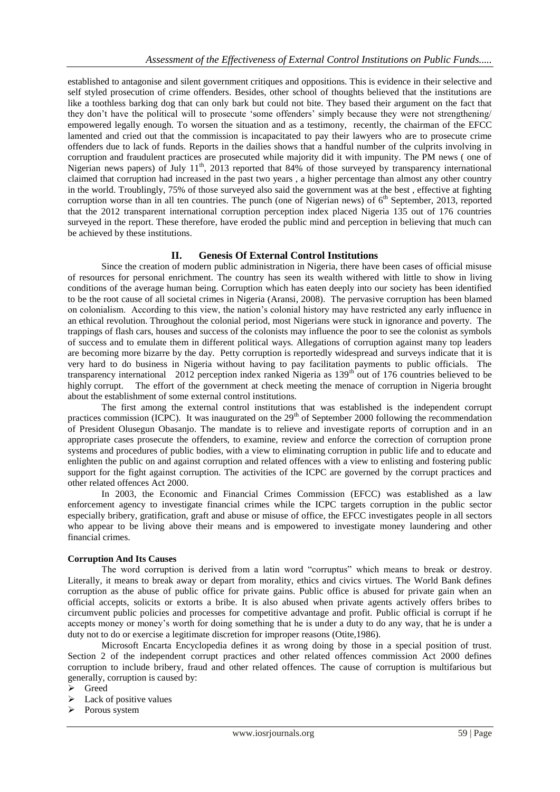established to antagonise and silent government critiques and oppositions. This is evidence in their selective and self styled prosecution of crime offenders. Besides, other school of thoughts believed that the institutions are like a toothless barking dog that can only bark but could not bite. They based their argument on the fact that they don't have the political will to prosecute 'some offenders' simply because they were not strengthening/ empowered legally enough. To worsen the situation and as a testimony, recently, the chairman of the EFCC lamented and cried out that the commission is incapacitated to pay their lawyers who are to prosecute crime offenders due to lack of funds. Reports in the dailies shows that a handful number of the culprits involving in corruption and fraudulent practices are prosecuted while majority did it with impunity. The PM news ( one of Nigerian news papers) of July 11<sup>th</sup>, 2013 reported that 84% of those surveyed by transparency international claimed that corruption had increased in the past two years , a higher percentage than almost any other country in the world. Troublingly, 75% of those surveyed also said the government was at the best , effective at fighting corruption worse than in all ten countries. The punch (one of Nigerian news) of  $6<sup>th</sup>$  September, 2013, reported that the 2012 transparent international corruption perception index placed Nigeria 135 out of 176 countries surveyed in the report. These therefore, have eroded the public mind and perception in believing that much can be achieved by these institutions.

# **II. Genesis Of External Control Institutions**

Since the creation of modern public administration in Nigeria, there have been cases of official misuse of resources for personal enrichment. The country has seen its wealth withered with little to show in living conditions of the average human being. Corruption which has eaten deeply into our society has been identified to be the root cause of all societal crimes in Nigeria (Aransi, 2008). The pervasive corruption has been blamed on colonialism. According to this view, the nation"s colonial history may have restricted any early influence in an ethical revolution. Throughout the colonial period, most Nigerians were stuck in ignorance and poverty. The trappings of flash cars, houses and success of the colonists may influence the poor to see the colonist as symbols of success and to emulate them in different political ways. Allegations of corruption against many top leaders are becoming more bizarre by the day. Petty corruption is reportedly widespread and surveys indicate that it is very hard to do business in Nigeria without having to pay facilitation payments to public officials. The transparency international 2012 perception index ranked Nigeria as 139<sup>th</sup> out of 176 countries believed to be highly corrupt. The effort of the government at check meeting the menace of corruption in Nigeria brought about the establishment of some external control institutions.

The first among the external control institutions that was established is the independent corrupt practices commission (ICPC). It was inaugurated on the  $29<sup>th</sup>$  of September 2000 following the recommendation of President Olusegun Obasanjo. The mandate is to relieve and investigate reports of corruption and in an appropriate cases prosecute the offenders, to examine, review and enforce the correction of corruption prone systems and procedures of public bodies, with a view to eliminating corruption in public life and to educate and enlighten the public on and against corruption and related offences with a view to enlisting and fostering public support for the fight against corruption. The activities of the ICPC are governed by the corrupt practices and other related offences Act 2000.

In 2003, the Economic and Financial Crimes Commission (EFCC) was established as a law enforcement agency to investigate financial crimes while the ICPC targets corruption in the public sector especially bribery, gratification, graft and abuse or misuse of office, the EFCC investigates people in all sectors who appear to be living above their means and is empowered to investigate money laundering and other financial crimes.

## **Corruption And Its Causes**

The word corruption is derived from a latin word "corruptus" which means to break or destroy. Literally, it means to break away or depart from morality, ethics and civics virtues. The World Bank defines corruption as the abuse of public office for private gains. Public office is abused for private gain when an official accepts, solicits or extorts a bribe. It is also abused when private agents actively offers bribes to circumvent public policies and processes for competitive advantage and profit. Public official is corrupt if he accepts money or money"s worth for doing something that he is under a duty to do any way, that he is under a duty not to do or exercise a legitimate discretion for improper reasons (Otite,1986).

Microsoft Encarta Encyclopedia defines it as wrong doing by those in a special position of trust. Section 2 of the independent corrupt practices and other related offences commission Act 2000 defines corruption to include bribery, fraud and other related offences. The cause of corruption is multifarious but generally, corruption is caused by:

- Greed
- $\blacktriangleright$  Lack of positive values
- $\triangleright$  Porous system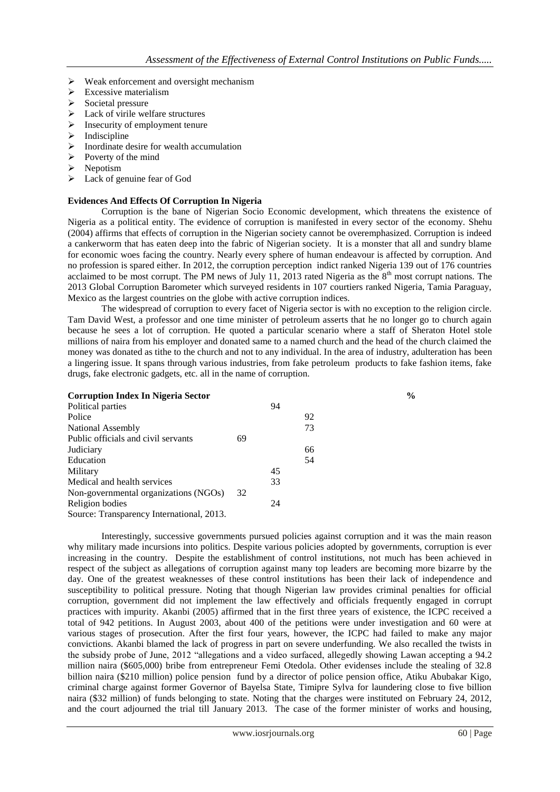- $\triangleright$  Weak enforcement and oversight mechanism
- $\triangleright$  Excessive materialism
- $\triangleright$  Societal pressure
- $\triangleright$  Lack of virile welfare structures
- $\triangleright$  Insecurity of employment tenure
- $\triangleright$  Indiscipline
- $\triangleright$  Inordinate desire for wealth accumulation
- $\triangleright$  Poverty of the mind
- $\triangleright$  Nepotism
- > Lack of genuine fear of God

## **Evidences And Effects Of Corruption In Nigeria**

Corruption is the bane of Nigerian Socio Economic development, which threatens the existence of Nigeria as a political entity. The evidence of corruption is manifested in every sector of the economy. Shehu (2004) affirms that effects of corruption in the Nigerian society cannot be overemphasized. Corruption is indeed a cankerworm that has eaten deep into the fabric of Nigerian society. It is a monster that all and sundry blame for economic woes facing the country. Nearly every sphere of human endeavour is affected by corruption. And no profession is spared either. In 2012, the corruption perception indict ranked Nigeria 139 out of 176 countries acclaimed to be most corrupt. The PM news of July 11, 2013 rated Nigeria as the  $8<sup>th</sup>$  most corrupt nations. The 2013 Global Corruption Barometer which surveyed residents in 107 courtiers ranked Nigeria, Tamia Paraguay, Mexico as the largest countries on the globe with active corruption indices.

The widespread of corruption to every facet of Nigeria sector is with no exception to the religion circle. Tam David West, a professor and one time minister of petroleum asserts that he no longer go to church again because he sees a lot of corruption. He quoted a particular scenario where a staff of Sheraton Hotel stole millions of naira from his employer and donated same to a named church and the head of the church claimed the money was donated as tithe to the church and not to any individual. In the area of industry, adulteration has been a lingering issue. It spans through various industries, from fake petroleum products to fake fashion items, fake drugs, fake electronic gadgets, etc. all in the name of corruption.

| <b>Corruption Index In Nigeria Sector</b> |    |    |    | $\frac{0}{0}$ |
|-------------------------------------------|----|----|----|---------------|
| Political parties                         |    | 94 |    |               |
| Police                                    |    |    | 92 |               |
| National Assembly                         |    |    | 73 |               |
| Public officials and civil servants       | 69 |    |    |               |
| Judiciary                                 |    |    | 66 |               |
| Education                                 |    |    | 54 |               |
| Military                                  |    | 45 |    |               |
| Medical and health services               |    | 33 |    |               |
| Non-governmental organizations (NGOs)     | 32 |    |    |               |
| Religion bodies                           |    | 24 |    |               |
| Source: Transparency International, 2013. |    |    |    |               |

Interestingly, successive governments pursued policies against corruption and it was the main reason why military made incursions into politics. Despite various policies adopted by governments, corruption is ever increasing in the country. Despite the establishment of control institutions, not much has been achieved in respect of the subject as allegations of corruption against many top leaders are becoming more bizarre by the day. One of the greatest weaknesses of these control institutions has been their lack of independence and susceptibility to political pressure. Noting that though Nigerian law provides criminal penalties for official corruption, government did not implement the law effectively and officials frequently engaged in corrupt practices with impurity. Akanbi (2005) affirmed that in the first three years of existence, the ICPC received a total of 942 petitions. In August 2003, about 400 of the petitions were under investigation and 60 were at various stages of prosecution. After the first four years, however, the ICPC had failed to make any major convictions. Akanbi blamed the lack of progress in part on severe underfunding. We also recalled the twists in the subsidy probe of June, 2012 "allegations and a video surfaced, allegedly showing Lawan accepting a 94.2 million naira (\$605,000) bribe from entrepreneur Femi Otedola. Other evidenses include the stealing of 32.8 billion naira (\$210 million) police pension fund by a director of police pension office, Atiku Abubakar Kigo, criminal charge against former Governor of Bayelsa State, Timipre Sylva for laundering close to five billion naira (\$32 million) of funds belonging to state. Noting that the charges were instituted on February 24, 2012, and the court adjourned the trial till January 2013. The case of the former minister of works and housing,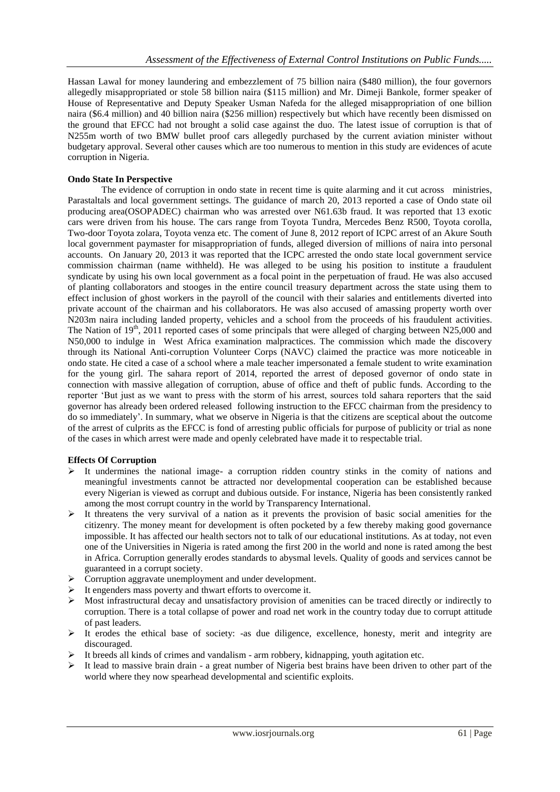Hassan Lawal for money laundering and embezzlement of 75 billion naira (\$480 million), the four governors allegedly misappropriated or stole 58 billion naira (\$115 million) and Mr. Dimeji Bankole, former speaker of House of Representative and Deputy Speaker Usman Nafeda for the alleged misappropriation of one billion naira (\$6.4 million) and 40 billion naira (\$256 million) respectively but which have recently been dismissed on the ground that EFCC had not brought a solid case against the duo. The latest issue of corruption is that of N255m worth of two BMW bullet proof cars allegedly purchased by the current aviation minister without budgetary approval. Several other causes which are too numerous to mention in this study are evidences of acute corruption in Nigeria.

## **Ondo State In Perspective**

The evidence of corruption in ondo state in recent time is quite alarming and it cut across ministries, Parastaltals and local government settings. The guidance of march 20, 2013 reported a case of Ondo state oil producing area(OSOPADEC) chairman who was arrested over N61.63b fraud. It was reported that 13 exotic cars were driven from his house. The cars range from Toyota Tundra, Mercedes Benz R500, Toyota corolla, Two-door Toyota zolara, Toyota venza etc. The coment of June 8, 2012 report of ICPC arrest of an Akure South local government paymaster for misappropriation of funds, alleged diversion of millions of naira into personal accounts. On January 20, 2013 it was reported that the ICPC arrested the ondo state local government service commission chairman (name withheld). He was alleged to be using his position to institute a fraudulent syndicate by using his own local government as a focal point in the perpetuation of fraud. He was also accused of planting collaborators and stooges in the entire council treasury department across the state using them to effect inclusion of ghost workers in the payroll of the council with their salaries and entitlements diverted into private account of the chairman and his collaborators. He was also accused of amassing property worth over N203m naira including landed property, vehicles and a school from the proceeds of his fraudulent activities. The Nation of  $19<sup>th</sup>$ , 2011 reported cases of some principals that were alleged of charging between N25,000 and N50,000 to indulge in West Africa examination malpractices. The commission which made the discovery through its National Anti-corruption Volunteer Corps (NAVC) claimed the practice was more noticeable in ondo state. He cited a case of a school where a male teacher impersonated a female student to write examination for the young girl. The sahara report of 2014, reported the arrest of deposed governor of ondo state in connection with massive allegation of corruption, abuse of office and theft of public funds. According to the reporter "But just as we want to press with the storm of his arrest, sources told sahara reporters that the said governor has already been ordered released following instruction to the EFCC chairman from the presidency to do so immediately". In summary, what we observe in Nigeria is that the citizens are sceptical about the outcome of the arrest of culprits as the EFCC is fond of arresting public officials for purpose of publicity or trial as none of the cases in which arrest were made and openly celebrated have made it to respectable trial.

## **Effects Of Corruption**

- $\triangleright$  It undermines the national image- a corruption ridden country stinks in the comity of nations and meaningful investments cannot be attracted nor developmental cooperation can be established because every Nigerian is viewed as corrupt and dubious outside. For instance, Nigeria has been consistently ranked among the most corrupt country in the world by Transparency International.
- $\triangleright$  It threatens the very survival of a nation as it prevents the provision of basic social amenities for the citizenry. The money meant for development is often pocketed by a few thereby making good governance impossible. It has affected our health sectors not to talk of our educational institutions. As at today, not even one of the Universities in Nigeria is rated among the first 200 in the world and none is rated among the best in Africa. Corruption generally erodes standards to abysmal levels. Quality of goods and services cannot be guaranteed in a corrupt society.
- > Corruption aggravate unemployment and under development.
- $\triangleright$  It engenders mass poverty and thwart efforts to overcome it.
- $\triangleright$  Most infrastructural decay and unsatisfactory provision of amenities can be traced directly or indirectly to corruption. There is a total collapse of power and road net work in the country today due to corrupt attitude of past leaders.
- $\triangleright$  It erodes the ethical base of society: -as due diligence, excellence, honesty, merit and integrity are discouraged.
- $\triangleright$  It breeds all kinds of crimes and vandalism arm robbery, kidnapping, youth agitation etc.
- $\triangleright$  It lead to massive brain drain a great number of Nigeria best brains have been driven to other part of the world where they now spearhead developmental and scientific exploits.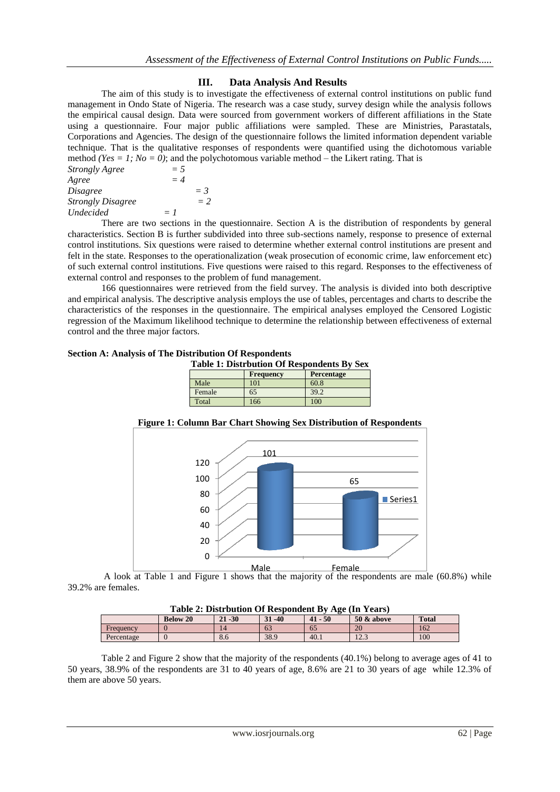## **III. Data Analysis And Results**

The aim of this study is to investigate the effectiveness of external control institutions on public fund management in Ondo State of Nigeria. The research was a case study, survey design while the analysis follows the empirical causal design. Data were sourced from government workers of different affiliations in the State using a questionnaire. Four major public affiliations were sampled. These are Ministries, Parastatals, Corporations and Agencies. The design of the questionnaire follows the limited information dependent variable technique. That is the qualitative responses of respondents were quantified using the dichotomous variable method *(Yes = 1; No = 0)*; and the polychotomous variable method – the Likert rating. That is

| <b>Strongly Agree</b>    | $= 5$ |       |
|--------------------------|-------|-------|
| Agree                    | $=4$  |       |
| <i>Disagree</i>          |       | $=$ 3 |
| <b>Strongly Disagree</b> |       | $= 2$ |
| <i>Undecided</i>         | $= 1$ |       |

There are two sections in the questionnaire. Section A is the distribution of respondents by general characteristics. Section B is further subdivided into three sub-sections namely, response to presence of external control institutions. Six questions were raised to determine whether external control institutions are present and felt in the state. Responses to the operationalization (weak prosecution of economic crime, law enforcement etc) of such external control institutions. Five questions were raised to this regard. Responses to the effectiveness of external control and responses to the problem of fund management.

166 questionnaires were retrieved from the field survey. The analysis is divided into both descriptive and empirical analysis. The descriptive analysis employs the use of tables, percentages and charts to describe the characteristics of the responses in the questionnaire. The empirical analyses employed the Censored Logistic regression of the Maximum likelihood technique to determine the relationship between effectiveness of external control and the three major factors.

#### **Section A: Analysis of The Distribution Of Respondents**

| <b>Table 1: Distrbution Of Respondents By Sex</b> |                  |                   |  |  |  |
|---------------------------------------------------|------------------|-------------------|--|--|--|
|                                                   | <b>Frequency</b> | <b>Percentage</b> |  |  |  |
| Male                                              | 101              | 60.8              |  |  |  |

Female 65 39.2 Total 166 100



#### **Figure 1: Column Bar Chart Showing Sex Distribution of Respondents**

A look at Table 1 and Figure 1 shows that the majority of the respondents are male (60.8%) while 39.2% are females. Male **Female** 

| Table 2: Distrbution Of Respondent By Age (In Years) |  |
|------------------------------------------------------|--|
|------------------------------------------------------|--|

| TANIV SI DAVU NAVIVIL OI IAUDDVIIAVIIV D<br>$1.1.0$ $0.1.1$ $0.01.0$ |                 |                             |                   |           |                                      |              |  |  |
|----------------------------------------------------------------------|-----------------|-----------------------------|-------------------|-----------|--------------------------------------|--------------|--|--|
|                                                                      | <b>Below 20</b> | $-30$<br>$\mathbf{A}$<br>41 | $-40$<br>21<br>эт | $41 - 50$ | <b>50 &amp; above</b>                | <b>Total</b> |  |  |
| Frequency                                                            |                 |                             | 63                | 65        | 20                                   | 162          |  |  |
| Percentage                                                           |                 | $\Omega$ .                  | 38.9              | 40.1      | 10 <sub>2</sub><br>$1 \angle . \cup$ | 100          |  |  |

Table 2 and Figure 2 show that the majority of the respondents (40.1%) belong to average ages of 41 to 50 years, 38.9% of the respondents are 31 to 40 years of age, 8.6% are 21 to 30 years of age while 12.3% of them are above 50 years.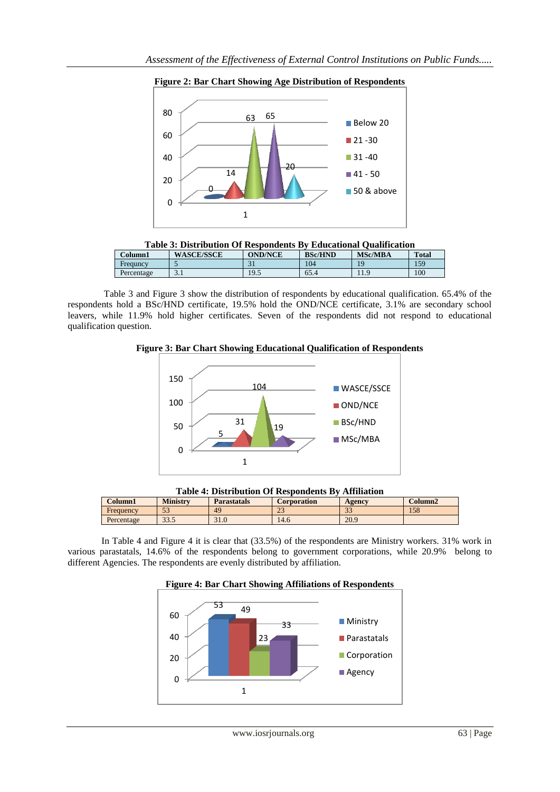





| Column1    | <b>WASCE/SSCE</b> | <b>OND/NCE</b>    | <b>BSc/HND</b> | <b>MSc/MBA</b> | <b>Total</b> |
|------------|-------------------|-------------------|----------------|----------------|--------------|
| Frequncy   |                   | $\sim$<br>◡       | 104            |                | 159          |
| Percentage | J.I               | $\circ$ 5<br>ر. ر | 65.4           | ---            | 100          |

Table 3 and Figure 3 show the distribution of respondents by educational qualification. 65.4% of the respondents hold a BSc/HND certificate, 19.5% hold the OND/NCE certificate, 3.1% are secondary school leavers, while 11.9% hold higher certificates. Seven of the respondents did not respond to educational qualification question.







| Column1    | <b>Ministry</b> | <b>Parastatals</b> |                  | Corporation | Agency        | Column2 |
|------------|-----------------|--------------------|------------------|-------------|---------------|---------|
| Frequency  | $\Gamma$<br>ن ب | 49                 | $\bigcap$<br>ل ک |             | $\sim$<br>ن ر | 158     |
| Percentage | 22E<br>33.3     | 31.0               | 14.6             |             | 20.9          |         |

In Table 4 and Figure 4 it is clear that (33.5%) of the respondents are Ministry workers. 31% work in various parastatals, 14.6% of the respondents belong to government corporations, while 20.9% belong to different Agencies. The respondents are evenly distributed by affiliation.



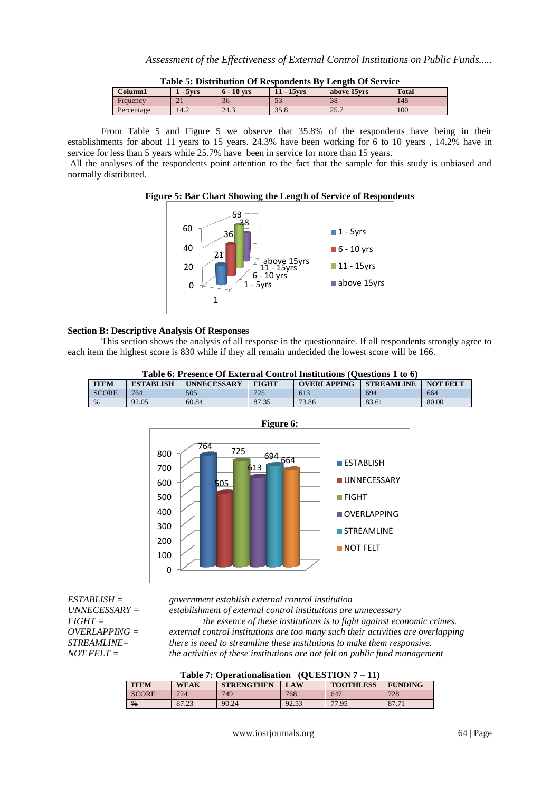| Table 5: Distribution Of Respondents By Length Of Service |            |              |               |              |              |  |  |
|-----------------------------------------------------------|------------|--------------|---------------|--------------|--------------|--|--|
| Column1                                                   | $1 - 5vrs$ | $6 - 10$ vrs | $11 - 15$ vrs | above 15 yrs | <b>Total</b> |  |  |
| Frauency                                                  |            | 36           |               | 38           | 148          |  |  |
| Percentage                                                | 14.2       | 24.3         | 35.8          | 25.7         | 100          |  |  |

From Table 5 and Figure 5 we observe that 35.8% of the respondents have being in their establishments for about 11 years to 15 years. 24.3% have been working for 6 to 10 years , 14.2% have in service for less than 5 years while 25.7% have been in service for more than 15 years.

All the analyses of the respondents point attention to the fact that the sample for this study is unbiased and normally distributed.





#### **Section B: Descriptive Analysis Of Responses**

This section shows the analysis of all response in the questionnaire. If all respondents strongly agree to each item the highest score is 830 while if they all remain undecided the lowest score will be 166.

| Table 6: Presence Of External Control Institutions (Ouestions 1 to 6) |                  |                    |              |             |                   |                 |  |  |
|-----------------------------------------------------------------------|------------------|--------------------|--------------|-------------|-------------------|-----------------|--|--|
| <b>ITEM</b>                                                           | <b>ESTABLISH</b> | <b>UNNECESSARY</b> | <b>FIGHT</b> | OVERLAPPING | <b>STREAMLINE</b> | <b>NOT FELT</b> |  |  |
| <b>SCORE</b>                                                          | 764              | 505                | 725          | 613         | 694               | 664             |  |  |
| $\frac{9}{6}$                                                         | 92.05            | 60.84              | 87.35        | 73.86       | 83.61             | 80.00           |  |  |



*ESTABLISH = government establish external control institution*

*UNNECESSARY = establishment of external control institutions are unnecessary FIGHT = the essence of these institutions is to fight against economic crimes. OVERLAPPING = external control institutions are too many such their activities are overlapping STREAMLINE= there is need to streamline these institutions to make them responsive. the activities of these institutions are not felt on public fund management* 

|  | Table 7: Operationalisation $(QUESTION 7 - 11)$ |  |
|--|-------------------------------------------------|--|
|  |                                                 |  |

| .             |             |                   |            |                  |                |  |  |  |
|---------------|-------------|-------------------|------------|------------------|----------------|--|--|--|
| <b>ITEM</b>   | <b>WEAK</b> | <b>STRENGTHEN</b> | <b>LAW</b> | <b>TOOTHLESS</b> | <b>FUNDING</b> |  |  |  |
| <b>SCORE</b>  | 724         | 749               | 768        | 647              | 728            |  |  |  |
| $\frac{0}{6}$ | 87.23       | 90.24             | 92.53      | 77.95            | 87.71          |  |  |  |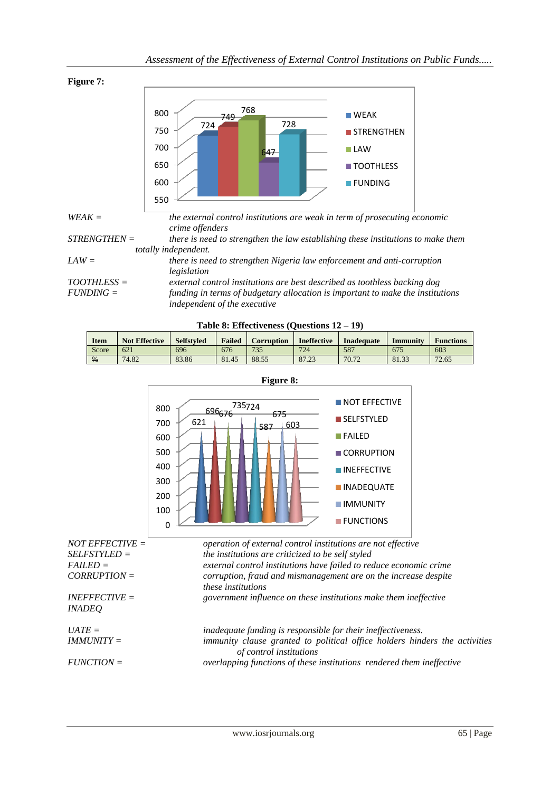

**Table 8: Effectiveness (Questions 12 – 19)**

| <b>Item</b>   | <b>Not Effective</b> | <b>Selfstyled</b> | <b>Failed</b> | <b>Corruption</b> | <b>Ineffective</b> | <b>Inadequate</b> | Immunity | <b>Functions</b> |
|---------------|----------------------|-------------------|---------------|-------------------|--------------------|-------------------|----------|------------------|
| Score         | 621                  | 696               | 676           | 735               | 724                | 587               | 675      | 603              |
| $\frac{0}{6}$ | 74.82                | 83.86             | 81.45         | 88.55             | 87.23              | 70.72             | 81.33    | 72.65            |



**Figure 8:**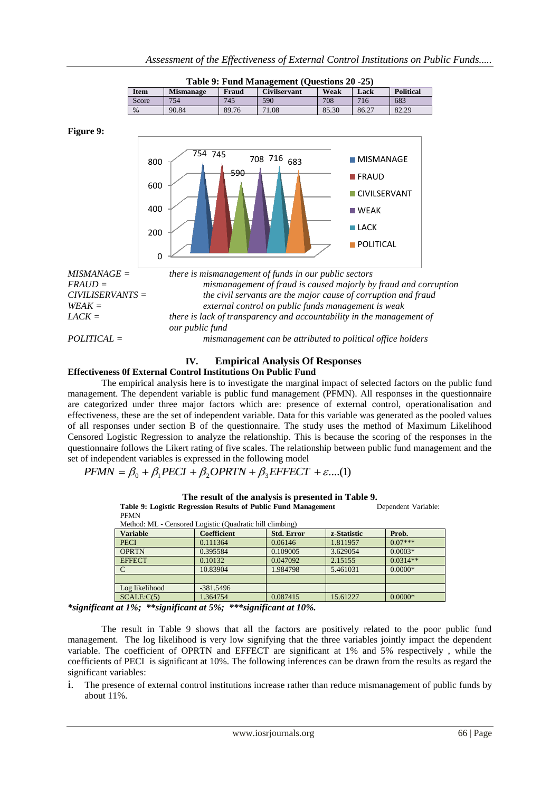| Table 9: Fund Management (Questions 20 -25) |                  |       |                     |       |       |                  |  |  |  |
|---------------------------------------------|------------------|-------|---------------------|-------|-------|------------------|--|--|--|
| Item                                        | <b>Mismanage</b> | Fraud | <b>Civilservant</b> | Weak  | Lack  | <b>Political</b> |  |  |  |
| Score                                       | 754              | 745   | 590                 | 708   | 716   | 683              |  |  |  |
| $\frac{0}{6}$                               | 90.84            | 89.76 | 71.08               | 85.30 | 86.27 | 82.29            |  |  |  |

**Figure 9:**



## **IV. Empirical Analysis Of Responses**

#### **Effectiveness 0f External Control Institutions On Public Fund**

The empirical analysis here is to investigate the marginal impact of selected factors on the public fund management. The dependent variable is public fund management (PFMN). All responses in the questionnaire are categorized under three major factors which are: presence of external control, operationalisation and effectiveness, these are the set of independent variable. Data for this variable was generated as the pooled values of all responses under section B of the questionnaire. The study uses the method of Maximum Likelihood Censored Logistic Regression to analyze the relationship. This is because the scoring of the responses in the questionnaire follows the Likert rating of five scales. The relationship between public fund management and the set of independent variables is expressed in the following model

 $PFMN = \beta_0 + \beta_1 PECI + \beta_2 OPRTN + \beta_3 EFFECT + \varepsilon ....(1)$ 

| <b>PFMN</b>                                              |                    |                   |             |            |  |  |  |  |  |
|----------------------------------------------------------|--------------------|-------------------|-------------|------------|--|--|--|--|--|
| Method: ML - Censored Logistic (Quadratic hill climbing) |                    |                   |             |            |  |  |  |  |  |
| <b>Variable</b>                                          | <b>Coefficient</b> | <b>Std. Error</b> | z-Statistic | Prob.      |  |  |  |  |  |
| <b>PECI</b>                                              | 0.111364           | 0.06146           | 1.811957    | $0.07***$  |  |  |  |  |  |
| <b>OPRTN</b>                                             | 0.395584           | 0.109005          | 3.629054    | $0.0003*$  |  |  |  |  |  |
| <b>EFFECT</b>                                            | 0.10132            | 0.047092          | 2.15155     | $0.0314**$ |  |  |  |  |  |
| C                                                        | 10.83904           | 1.984798          | 5.461031    | $0.0000*$  |  |  |  |  |  |
|                                                          |                    |                   |             |            |  |  |  |  |  |
| Log likelihood                                           | $-381.5496$        |                   |             |            |  |  |  |  |  |
| SCALE:C(5)                                               | 1.364754           | 0.087415          | 15.61227    | $0.0000*$  |  |  |  |  |  |

**The result of the analysis is presented in Table 9. Table 9: Logistic Regression Results of Public Fund Management** Dependent Variable:

*\*significant at 1%; \*\*significant at 5%; \*\*\*significant at 10%.*

The result in Table 9 shows that all the factors are positively related to the poor public fund management. The log likelihood is very low signifying that the three variables jointly impact the dependent variable. The coefficient of OPRTN and EFFECT are significant at 1% and 5% respectively , while the coefficients of PECI is significant at 10%. The following inferences can be drawn from the results as regard the significant variables:

i. The presence of external control institutions increase rather than reduce mismanagement of public funds by about 11%.